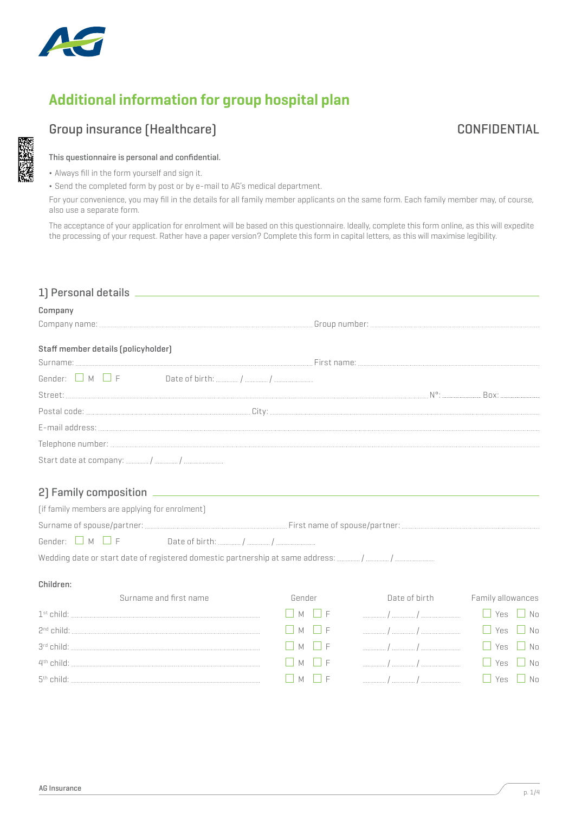

# **Additional information for group hospital plan**

## Group insurance (Healthcare) and the contraction of the CONFIDENTIAL CONFIDENTIAL

## This questionnaire is personal and confidential.

- ¬ Always fill in the form yourself and sign it.
- ¬ Send the completed form by post or by e-mail to AG's medical department.

For your convenience, you may fill in the details for all family member applicants on the same form. Each family member may, of course, also use a separate form.

The acceptance of your application for enrolment will be based on this questionnaire. Ideally, complete this form online, as this will expedite the processing of your request. Rather have a paper version? Complete this form in capital letters, as this will maximise legibility.

| 1) Personal details _                          |                             |                                                                                                                                                                                                                                                                                                                     |                         |  |
|------------------------------------------------|-----------------------------|---------------------------------------------------------------------------------------------------------------------------------------------------------------------------------------------------------------------------------------------------------------------------------------------------------------------|-------------------------|--|
| Company                                        |                             |                                                                                                                                                                                                                                                                                                                     |                         |  |
|                                                |                             |                                                                                                                                                                                                                                                                                                                     |                         |  |
| Staff member details (policyholder)            |                             |                                                                                                                                                                                                                                                                                                                     |                         |  |
|                                                |                             |                                                                                                                                                                                                                                                                                                                     |                         |  |
|                                                |                             |                                                                                                                                                                                                                                                                                                                     |                         |  |
|                                                |                             |                                                                                                                                                                                                                                                                                                                     |                         |  |
|                                                |                             |                                                                                                                                                                                                                                                                                                                     |                         |  |
|                                                |                             |                                                                                                                                                                                                                                                                                                                     |                         |  |
|                                                |                             |                                                                                                                                                                                                                                                                                                                     |                         |  |
|                                                |                             |                                                                                                                                                                                                                                                                                                                     |                         |  |
|                                                |                             |                                                                                                                                                                                                                                                                                                                     |                         |  |
|                                                |                             |                                                                                                                                                                                                                                                                                                                     |                         |  |
| [if family members are applying for enrolment] |                             |                                                                                                                                                                                                                                                                                                                     |                         |  |
|                                                |                             |                                                                                                                                                                                                                                                                                                                     |                         |  |
| Gender: $\vert$ M $\vert$ F                    |                             |                                                                                                                                                                                                                                                                                                                     |                         |  |
|                                                |                             |                                                                                                                                                                                                                                                                                                                     |                         |  |
| Children:                                      |                             |                                                                                                                                                                                                                                                                                                                     |                         |  |
| Surname and first name                         | Gender                      | Date of birth                                                                                                                                                                                                                                                                                                       | Family allowances       |  |
|                                                | $\Box$ M $\Box$ F           |                                                                                                                                                                                                                                                                                                                     | $\Box$ Yes<br>$\Box$ No |  |
|                                                | $\vert$   M<br>$\Box$       |                                                                                                                                                                                                                                                                                                                     | $\Box$ Yes<br>$\Box$ No |  |
|                                                | $\Box$ M<br>$ $ $ $ $ $ $ $ |                                                                                                                                                                                                                                                                                                                     | $\Box$ Yes<br>$\Box$ No |  |
|                                                | I M<br>$\vdash$             |                                                                                                                                                                                                                                                                                                                     | $\Box$ Yes<br>$\Box$ No |  |
|                                                | $\Box$ M<br>$\mathsf{F}$    | $\frac{1}{2}$ $\frac{1}{2}$ $\frac{1}{2}$ $\frac{1}{2}$ $\frac{1}{2}$ $\frac{1}{2}$ $\frac{1}{2}$ $\frac{1}{2}$ $\frac{1}{2}$ $\frac{1}{2}$ $\frac{1}{2}$ $\frac{1}{2}$ $\frac{1}{2}$ $\frac{1}{2}$ $\frac{1}{2}$ $\frac{1}{2}$ $\frac{1}{2}$ $\frac{1}{2}$ $\frac{1}{2}$ $\frac{1}{2}$ $\frac{1}{2}$ $\frac{1}{2}$ | $\Box$ Yes<br>$\Box$ No |  |
|                                                |                             |                                                                                                                                                                                                                                                                                                                     |                         |  |
|                                                |                             |                                                                                                                                                                                                                                                                                                                     |                         |  |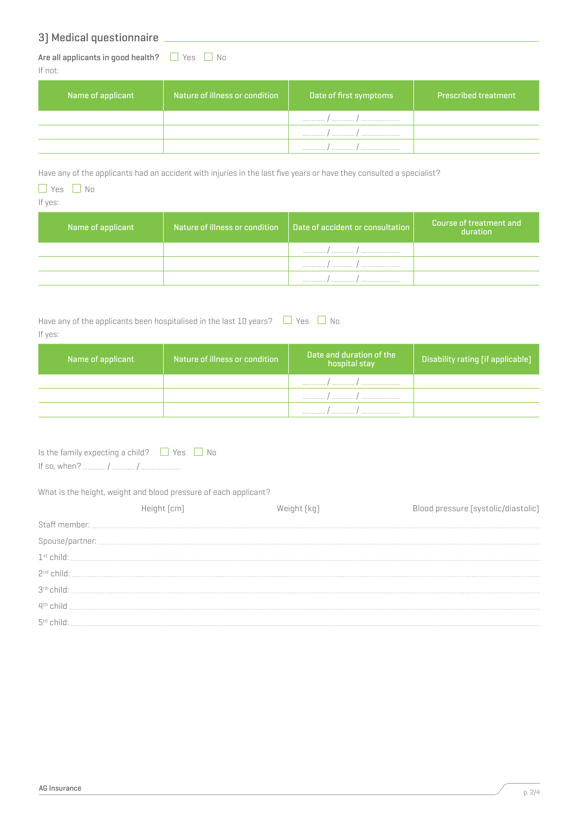## 3) Medical questionnaire

Are all applicants in good health?  $\Box$  Yes  $\Box$  No If not:

| Name of applicant | Nature of illness or condition | Date of first symptoms | <b>Prescribed treatment</b> |
|-------------------|--------------------------------|------------------------|-----------------------------|
|                   |                                | <br>.                  |                             |
|                   |                                |                        |                             |
|                   |                                | .                      |                             |

Have any of the applicants had an accident with injuries in the last five years or have they consulted a specialist?

## $\Box$  Yes  $\Box$  No

If yes:

| Name of applicant | Nature of illness or condition $\Box$ Date of accident or consultation | Course of treatment and<br>duration |
|-------------------|------------------------------------------------------------------------|-------------------------------------|
|                   | <br><br>                                                               |                                     |
|                   | .<br>.                                                                 |                                     |
|                   | .<br>. 1<br>                                                           |                                     |

| Have any of the applicants been hospitalised in the last 10 years? $\Box$ Yes $\Box$ No |  |
|-----------------------------------------------------------------------------------------|--|
| If yes:                                                                                 |  |

| Name of applicant | Nature of illness or condition | Date and duration of the<br>hospital stay | <b>Disability rating [if applicable]</b> |
|-------------------|--------------------------------|-------------------------------------------|------------------------------------------|
|                   |                                | <br>.                                     |                                          |
|                   |                                | <br>.<br>                                 |                                          |
|                   |                                | .<br>.                                    |                                          |

| Is the family expecting a child? $\Box$ Yes $\Box$ No |  |
|-------------------------------------------------------|--|
|                                                       |  |

## What is the height, weight and blood pressure of each applicant?

|                       | Weight   kg | Blood pressure (systolic/diastolic) |
|-----------------------|-------------|-------------------------------------|
| Staff member:         |             |                                     |
|                       |             |                                     |
| $1st$ child:          |             |                                     |
| $2nd$ child:          |             |                                     |
| $3rd$ child:          |             |                                     |
| 4 <sup>th</sup> child |             |                                     |
|                       |             |                                     |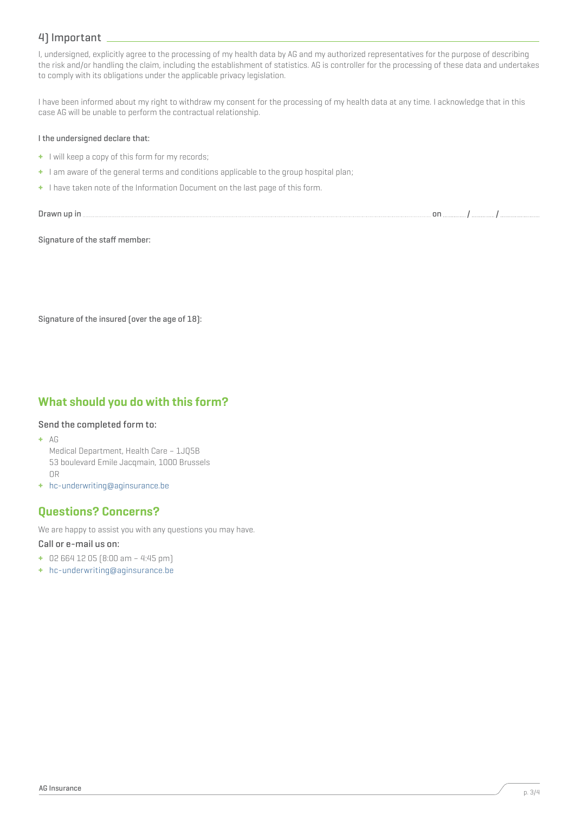## 4) Important

I, undersigned, explicitly agree to the processing of my health data by AG and my authorized representatives for the purpose of describing the risk and/or handling the claim, including the establishment of statistics. AG is controller for the processing of these data and undertakes to comply with its obligations under the applicable privacy legislation.

I have been informed about my right to withdraw my consent for the processing of my health data at any time. I acknowledge that in this case AG will be unable to perform the contractual relationship.

#### I the undersigned declare that:

- **+** I will keep a copy of this form for my records;
- **+** I am aware of the general terms and conditions applicable to the group hospital plan;
- **+** I have taken note of the Information Document on the last page of this form.

```
Drawn up in on / /
```
Signature of the staff member:

Signature of the insured (over the age of 18):

## **What should you do with this form?**

#### Send the completed form to:

- **+** AG
	- Medical Department, Health Care 1JQ5B 53 boulevard Emile Jacqmain, 1000 Brussels OR
- **+** hc-underwriting@aginsurance.be

## **Questions? Concerns?**

We are happy to assist you with any questions you may have.

#### Call or e-mail us on:

- **+** 02 664 12 05 (8:00 am 4:45 pm)
- **+** hc-underwriting@aginsurance.be